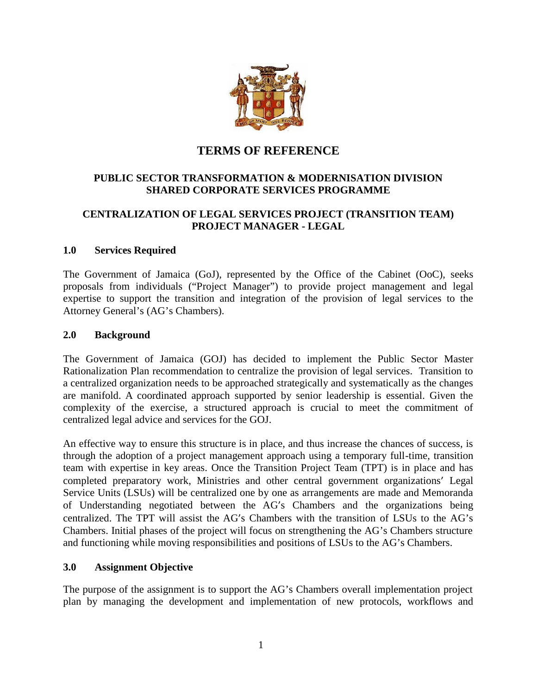

# **TERMS OF REFERENCE**

# **PUBLIC SECTOR TRANSFORMATION & MODERNISATION DIVISION SHARED CORPORATE SERVICES PROGRAMME**

# **CENTRALIZATION OF LEGAL SERVICES PROJECT (TRANSITION TEAM) PROJECT MANAGER - LEGAL**

# **1.0 Services Required**

The Government of Jamaica (GoJ), represented by the Office of the Cabinet (OoC), seeks proposals from individuals ("Project Manager") to provide project management and legal expertise to support the transition and integration of the provision of legal services to the Attorney General's (AG's Chambers).

#### **2.0 Background**

The Government of Jamaica (GOJ) has decided to implement the Public Sector Master Rationalization Plan recommendation to centralize the provision of legal services. Transition to a centralized organization needs to be approached strategically and systematically as the changes are manifold. A coordinated approach supported by senior leadership is essential. Given the complexity of the exercise, a structured approach is crucial to meet the commitment of centralized legal advice and services for the GOJ.

An effective way to ensure this structure is in place, and thus increase the chances of success, is through the adoption of a project management approach using a temporary full-time, transition team with expertise in key areas. Once the Transition Project Team (TPT) is in place and has completed preparatory work, Ministries and other central government organizations' Legal Service Units (LSUs) will be centralized one by one as arrangements are made and Memoranda of Understanding negotiated between the AG's Chambers and the organizations being centralized. The TPT will assist the AG's Chambers with the transition of LSUs to the AG's Chambers. Initial phases of the project will focus on strengthening the AG's Chambers structure and functioning while moving responsibilities and positions of LSUs to the AG's Chambers.

#### **3.0 Assignment Objective**

The purpose of the assignment is to support the AG's Chambers overall implementation project plan by managing the development and implementation of new protocols, workflows and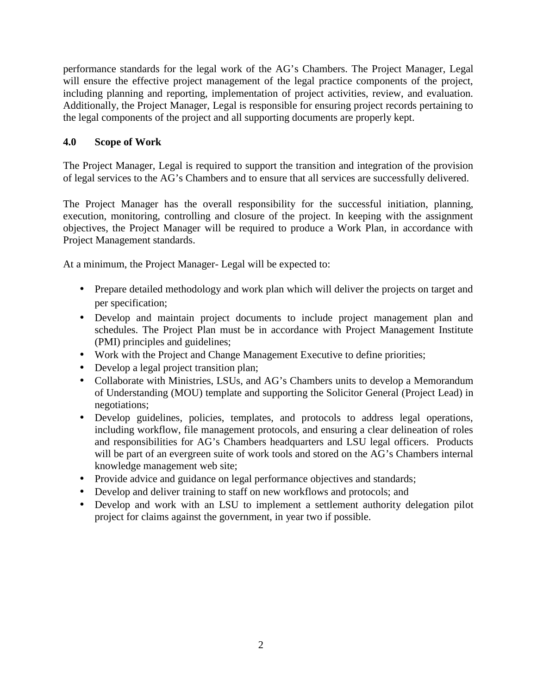performance standards for the legal work of the AG's Chambers. The Project Manager, Legal will ensure the effective project management of the legal practice components of the project, including planning and reporting, implementation of project activities, review, and evaluation. Additionally, the Project Manager, Legal is responsible for ensuring project records pertaining to the legal components of the project and all supporting documents are properly kept.

# **4.0 Scope of Work**

The Project Manager, Legal is required to support the transition and integration of the provision of legal services to the AG's Chambers and to ensure that all services are successfully delivered.

The Project Manager has the overall responsibility for the successful initiation, planning, execution, monitoring, controlling and closure of the project. In keeping with the assignment objectives, the Project Manager will be required to produce a Work Plan, in accordance with Project Management standards.

At a minimum, the Project Manager- Legal will be expected to:

- Prepare detailed methodology and work plan which will deliver the projects on target and per specification;
- Develop and maintain project documents to include project management plan and schedules. The Project Plan must be in accordance with Project Management Institute (PMI) principles and guidelines;
- Work with the Project and Change Management Executive to define priorities;
- Develop a legal project transition plan;
- Collaborate with Ministries, LSUs, and AG's Chambers units to develop a Memorandum of Understanding (MOU) template and supporting the Solicitor General (Project Lead) in negotiations;
- Develop guidelines, policies, templates, and protocols to address legal operations, including workflow, file management protocols, and ensuring a clear delineation of roles and responsibilities for AG's Chambers headquarters and LSU legal officers. Products will be part of an evergreen suite of work tools and stored on the AG's Chambers internal knowledge management web site;
- Provide advice and guidance on legal performance objectives and standards;
- Develop and deliver training to staff on new workflows and protocols; and
- Develop and work with an LSU to implement a settlement authority delegation pilot project for claims against the government, in year two if possible.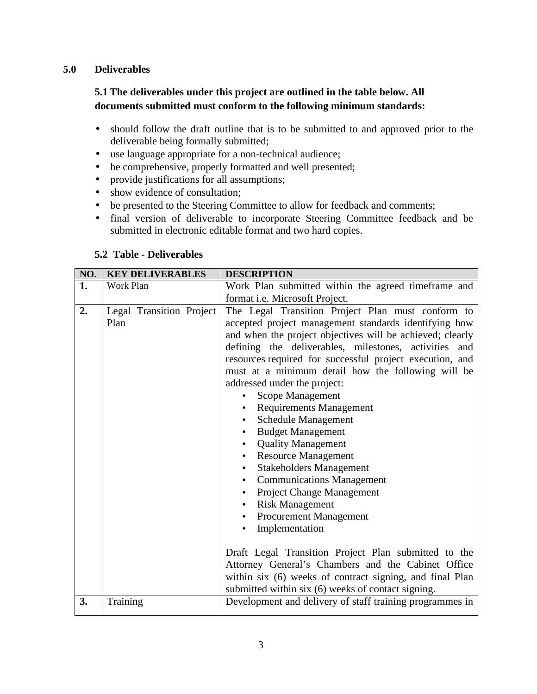# **5.0 Deliverables**

# **5.1 The deliverables under this project are outlined in the table below. All documents submitted must conform to the following minimum standards:**

- should follow the draft outline that is to be submitted to and approved prior to the deliverable being formally submitted;
- use language appropriate for a non-technical audience;
- be comprehensive, properly formatted and well presented;
- provide justifications for all assumptions;
- show evidence of consultation;
- be presented to the Steering Committee to allow for feedback and comments;
- final version of deliverable to incorporate Steering Committee feedback and be submitted in electronic editable format and two hard copies.

#### **5.2 Table - Deliverables**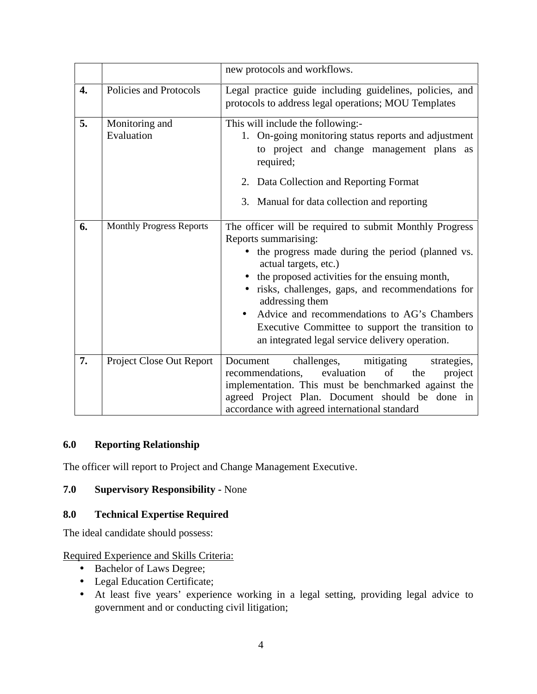|    |                                 | new protocols and workflows.                                                                                                                                                                                                                                                                                                                                                                                                                  |
|----|---------------------------------|-----------------------------------------------------------------------------------------------------------------------------------------------------------------------------------------------------------------------------------------------------------------------------------------------------------------------------------------------------------------------------------------------------------------------------------------------|
| 4. | Policies and Protocols          | Legal practice guide including guidelines, policies, and<br>protocols to address legal operations; MOU Templates                                                                                                                                                                                                                                                                                                                              |
| 5. | Monitoring and<br>Evaluation    | This will include the following:-<br>1. On-going monitoring status reports and adjustment<br>to project and change management plans as<br>required;                                                                                                                                                                                                                                                                                           |
|    |                                 | 2. Data Collection and Reporting Format<br>3. Manual for data collection and reporting                                                                                                                                                                                                                                                                                                                                                        |
| 6. | <b>Monthly Progress Reports</b> | The officer will be required to submit Monthly Progress<br>Reports summarising:<br>• the progress made during the period (planned vs.<br>actual targets, etc.)<br>the proposed activities for the ensuing month,<br>risks, challenges, gaps, and recommendations for<br>addressing them<br>Advice and recommendations to AG's Chambers<br>Executive Committee to support the transition to<br>an integrated legal service delivery operation. |
| 7. | Project Close Out Report        | mitigating<br>Document<br>challenges,<br>strategies,<br>evaluation<br>of<br>recommendations,<br>the<br>project<br>implementation. This must be benchmarked against the<br>agreed Project Plan. Document should be done in<br>accordance with agreed international standard                                                                                                                                                                    |

# **6.0 Reporting Relationship**

The officer will report to Project and Change Management Executive.

# **7.0 Supervisory Responsibility -** None

#### **8.0 Technical Expertise Required**

The ideal candidate should possess:

# Required Experience and Skills Criteria:

- Bachelor of Laws Degree;
- Legal Education Certificate;
- At least five years' experience working in a legal setting, providing legal advice to government and or conducting civil litigation;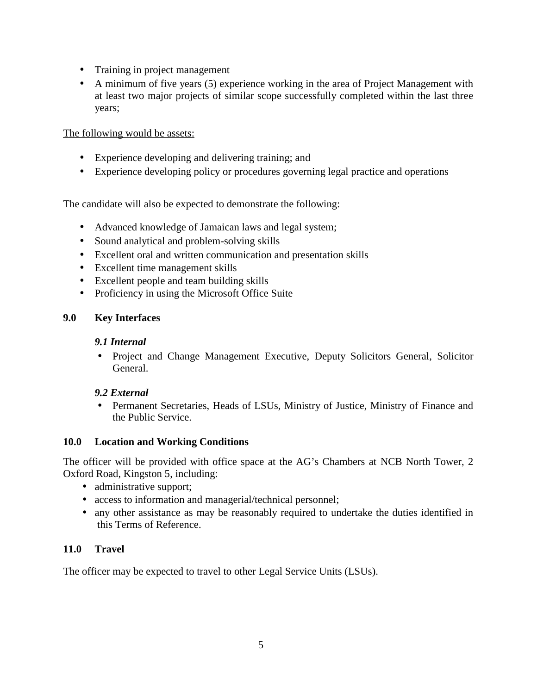- Training in project management
- A minimum of five years (5) experience working in the area of Project Management with at least two major projects of similar scope successfully completed within the last three years;

The following would be assets:

- Experience developing and delivering training; and
- Experience developing policy or procedures governing legal practice and operations

The candidate will also be expected to demonstrate the following:

- Advanced knowledge of Jamaican laws and legal system;
- Sound analytical and problem-solving skills
- Excellent oral and written communication and presentation skills
- Excellent time management skills
- Excellent people and team building skills
- Proficiency in using the Microsoft Office Suite

# **9.0 Key Interfaces**

# *9.1 Internal*

 Project and Change Management Executive, Deputy Solicitors General, Solicitor General.

# *9.2 External*

 Permanent Secretaries, Heads of LSUs, Ministry of Justice, Ministry of Finance and the Public Service.

# **10.0 Location and Working Conditions**

The officer will be provided with office space at the AG's Chambers at NCB North Tower, 2 Oxford Road, Kingston 5, including:

- administrative support;
- access to information and managerial/technical personnel;
- any other assistance as may be reasonably required to undertake the duties identified in this Terms of Reference.

# **11.0 Travel**

The officer may be expected to travel to other Legal Service Units (LSUs).